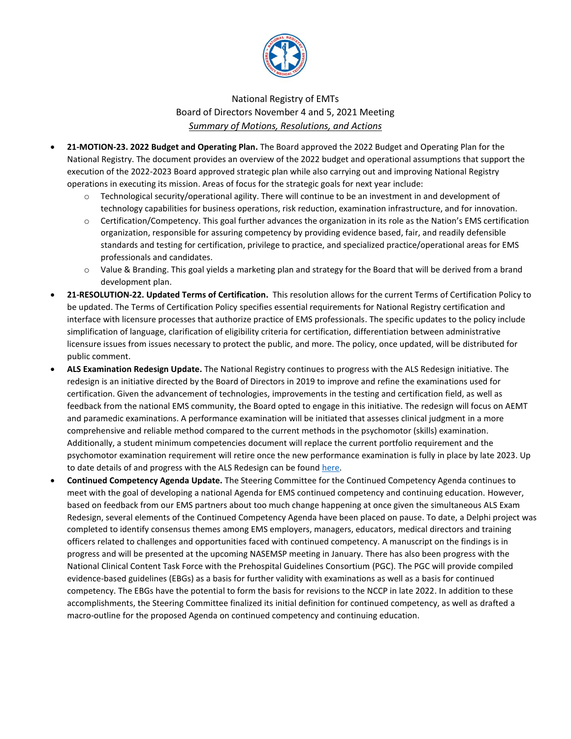

## National Registry of EMTs Board of Directors November 4 and 5, 2021 Meeting *Summary of Motions, Resolutions, and Actions*

- **21-MOTION-23. 2022 Budget and Operating Plan.** The Board approved the 2022 Budget and Operating Plan for the National Registry. The document provides an overview of the 2022 budget and operational assumptions that support the execution of the 2022-2023 Board approved strategic plan while also carrying out and improving National Registry operations in executing its mission. Areas of focus for the strategic goals for next year include:
	- Technological security/operational agility. There will continue to be an investment in and development of technology capabilities for business operations, risk reduction, examination infrastructure, and for innovation.
	- o Certification/Competency. This goal further advances the organization in its role as the Nation's EMS certification organization, responsible for assuring competency by providing evidence based, fair, and readily defensible standards and testing for certification, privilege to practice, and specialized practice/operational areas for EMS professionals and candidates.
	- o Value & Branding. This goal yields a marketing plan and strategy for the Board that will be derived from a brand development plan.
- **21-RESOLUTION-22. Updated Terms of Certification.** This resolution allows for the current Terms of Certification Policy to be updated. The Terms of Certification Policy specifies essential requirements for National Registry certification and interface with licensure processes that authorize practice of EMS professionals. The specific updates to the policy include simplification of language, clarification of eligibility criteria for certification, differentiation between administrative licensure issues from issues necessary to protect the public, and more. The policy, once updated, will be distributed for public comment.
- **ALS Examination Redesign Update.** The National Registry continues to progress with the ALS Redesign initiative. The redesign is an initiative directed by the Board of Directors in 2019 to improve and refine the examinations used for certification. Given the advancement of technologies, improvements in the testing and certification field, as well as feedback from the national EMS community, the Board opted to engage in this initiative. The redesign will focus on AEMT and paramedic examinations. A performance examination will be initiated that assesses clinical judgment in a more comprehensive and reliable method compared to the current methods in the psychomotor (skills) examination. Additionally, a student minimum competencies document will replace the current portfolio requirement and the psychomotor examination requirement will retire once the new performance examination is fully in place by late 2023. Up to date details of and progress with the ALS Redesign can be foun[d here.](https://www.nremt.org/Document/ALS-Redesign)
- **Continued Competency Agenda Update.** The Steering Committee for the Continued Competency Agenda continues to meet with the goal of developing a national Agenda for EMS continued competency and continuing education. However, based on feedback from our EMS partners about too much change happening at once given the simultaneous ALS Exam Redesign, several elements of the Continued Competency Agenda have been placed on pause. To date, a Delphi project was completed to identify consensus themes among EMS employers, managers, educators, medical directors and training officers related to challenges and opportunities faced with continued competency. A manuscript on the findings is in progress and will be presented at the upcoming NASEMSP meeting in January. There has also been progress with the National Clinical Content Task Force with the Prehospital Guidelines Consortium (PGC). The PGC will provide compiled evidence-based guidelines (EBGs) as a basis for further validity with examinations as well as a basis for continued competency. The EBGs have the potential to form the basis for revisions to the NCCP in late 2022. In addition to these accomplishments, the Steering Committee finalized its initial definition for continued competency, as well as drafted a macro-outline for the proposed Agenda on continued competency and continuing education.